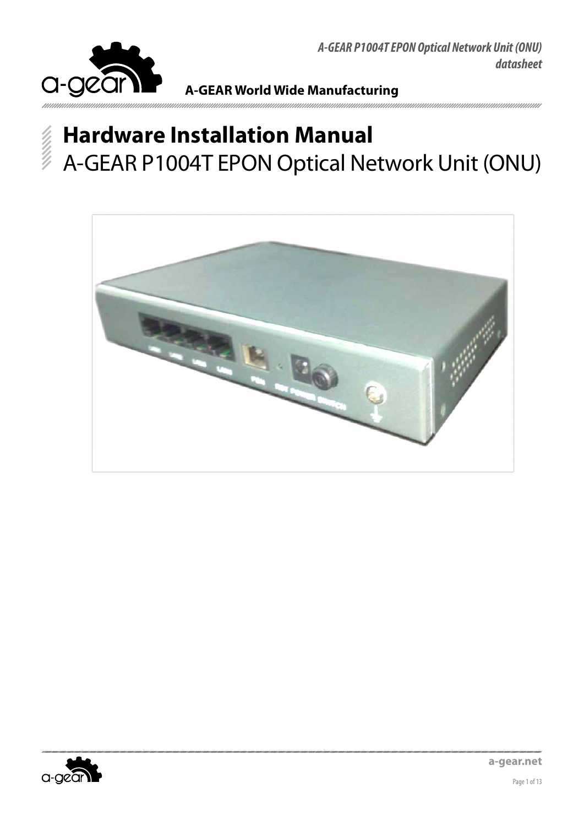

## **A-GEAR World Wide Manufacturing**

ununununununun

# **Hardware Installation Manual** A-GEAR P1004T EPON Optical Network Unit (ONU)



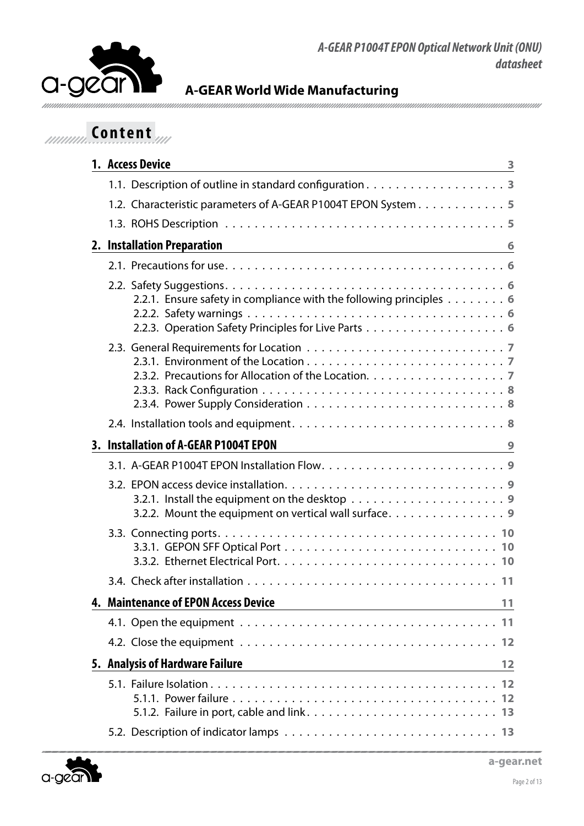



## *Innum* Content

| 1. Access Device<br><u> 1980 - Johann Barbara, martin amerikan basal dan berasal dalam basal dalam basal dalam basal dalam basal dala</u>         | 3  |
|---------------------------------------------------------------------------------------------------------------------------------------------------|----|
|                                                                                                                                                   |    |
| 1.2. Characteristic parameters of A-GEAR P1004T EPON System 5                                                                                     |    |
|                                                                                                                                                   |    |
| 2. Installation Preparation<br><u> 1980 - Johann Barbara, martxa alemaniar arg</u>                                                                | 6  |
|                                                                                                                                                   |    |
| 2.2.1. Ensure safety in compliance with the following principles 6                                                                                |    |
|                                                                                                                                                   |    |
|                                                                                                                                                   |    |
| 3. Installation of A-GEAR P1004T EPON                                                                                                             | 9  |
|                                                                                                                                                   |    |
| 3.2.1. Install the equipment on the desktop $\dots \dots \dots \dots \dots \dots \dots$<br>3.2.2. Mount the equipment on vertical wall surface. 9 |    |
|                                                                                                                                                   |    |
|                                                                                                                                                   |    |
| 4. Maintenance of EPON Access Device                                                                                                              | 11 |
|                                                                                                                                                   |    |
|                                                                                                                                                   |    |
| 5. Analysis of Hardware Failure                                                                                                                   | 12 |
|                                                                                                                                                   |    |
|                                                                                                                                                   |    |

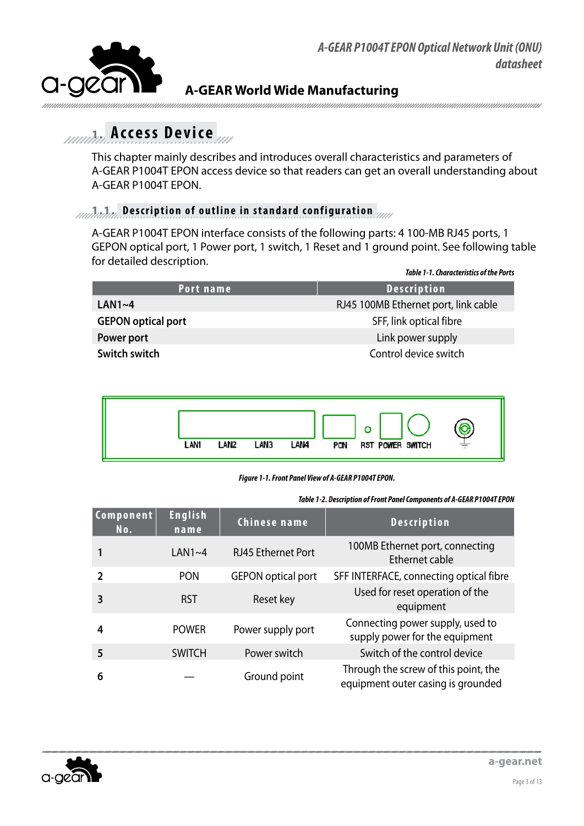

<span id="page-2-0"></span>

## **1. Access Device**

This chapter mainly describes and introduces overall characteristics and parameters of A-GEAR P1004T EPON access device so that readers can get an overall understanding about A-GEAR P1004T EPON.

## **1.1. Description of outline in standard configuration**

A-GEAR P1004T EPON interface consists of the following parts: 4 100-MB RJ45 ports, 1 GEPON optical port, 1 Power port, 1 switch, 1 Reset and 1 ground point. See following table for detailed description.

|                           | <b>Table 1-1. Characteristics of the Ports</b> |
|---------------------------|------------------------------------------------|
| Port name                 | <b>Description</b>                             |
| LAN1~4                    | RJ45 100MB Ethernet port, link cable           |
| <b>GEPON optical port</b> | SFF, link optical fibre                        |
| Power port                | Link power supply                              |
| Switch switch             | Control device switch                          |
|                           |                                                |



#### *Figure 1-1. Front Panel View of A-GEAR P1004T EPON.*

*Table 1-2. Description of Front Panel Components of A-GEAR P1004T EPON*

| <b>Component</b><br>No. | <b>English</b><br>name | Chinese name              | <b>Description</b>                                                         |
|-------------------------|------------------------|---------------------------|----------------------------------------------------------------------------|
|                         | $LAN1~-4$              | <b>RJ45 Ethernet Port</b> | 100MB Ethernet port, connecting<br>Ethernet cable                          |
| $\mathcal{P}$           | <b>PON</b>             | <b>GEPON</b> optical port | SFF INTERFACE, connecting optical fibre                                    |
| 3                       | <b>RST</b>             | Reset key                 | Used for reset operation of the<br>equipment                               |
| 4                       | <b>POWER</b>           | Power supply port         | Connecting power supply, used to<br>supply power for the equipment         |
| 5                       | <b>SWITCH</b>          | Power switch              | Switch of the control device                                               |
| 6                       |                        | Ground point              | Through the screw of this point, the<br>equipment outer casing is grounded |

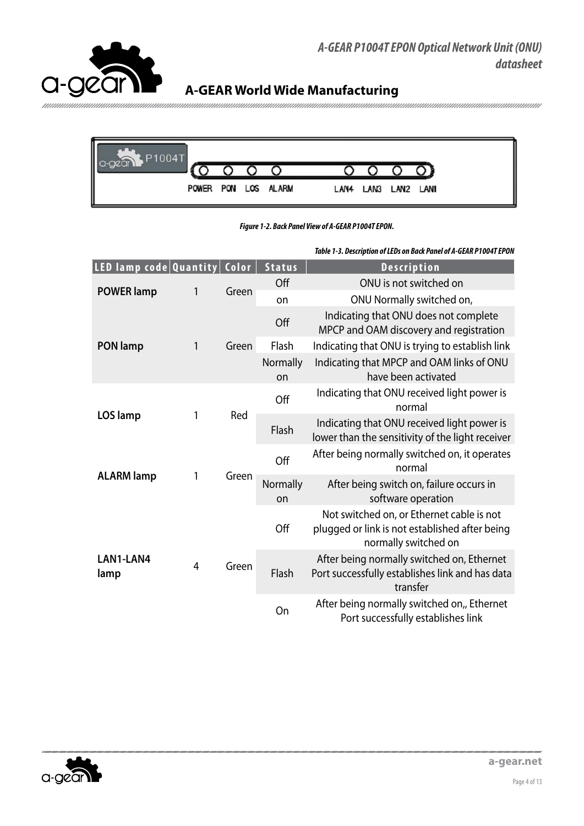



*Figure 1-2. Back Panel View of A-GEAR P1004T EPON.*

| LED lamp code Quantity   Color |   |       | <b>Status</b>  | <b>Description</b>                                                                                                  |  |  |
|--------------------------------|---|-------|----------------|---------------------------------------------------------------------------------------------------------------------|--|--|
| <b>POWER lamp</b>              |   | Green | Off            | ONU is not switched on                                                                                              |  |  |
|                                | 1 |       | on             | ONU Normally switched on,                                                                                           |  |  |
|                                |   |       | Off            | Indicating that ONU does not complete<br>MPCP and OAM discovery and registration                                    |  |  |
| <b>PON lamp</b>                | 1 | Green | Flash          | Indicating that ONU is trying to establish link                                                                     |  |  |
|                                |   |       | Normally<br>on | Indicating that MPCP and OAM links of ONU<br>have been activated                                                    |  |  |
|                                |   | Red   | Off            | Indicating that ONU received light power is<br>normal                                                               |  |  |
| LOS lamp                       | 1 |       | Flash          | Indicating that ONU received light power is<br>lower than the sensitivity of the light receiver                     |  |  |
| <b>ALARM lamp</b>              |   | Green | Off            | After being normally switched on, it operates<br>normal                                                             |  |  |
|                                | 1 |       | Normally<br>on | After being switch on, failure occurs in<br>software operation                                                      |  |  |
| LAN1-LAN4<br>lamp              | 4 | Green | Off            | Not switched on, or Ethernet cable is not<br>plugged or link is not established after being<br>normally switched on |  |  |
|                                |   |       | Flash          | After being normally switched on, Ethernet<br>Port successfully establishes link and has data<br>transfer           |  |  |
|                                |   |       | On             | After being normally switched on,, Ethernet<br>Port successfully establishes link                                   |  |  |

*Table 1-3. Description of LEDs on Back Panel of A-GEAR P1004T EPON*

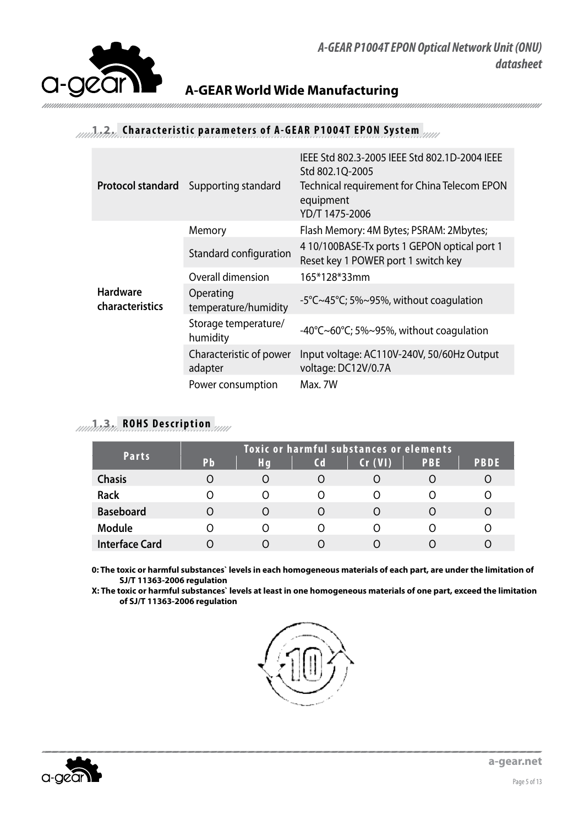<span id="page-4-0"></span>

## **A-GEAR World Wide Manufacturing**

## **1.2. Characteristic parameters of A-GEAR P1004T EPON System**

| <b>Protocol standard</b>           | Supporting standard                | IEEE Std 802.3-2005 IEEE Std 802.1D-2004 IEEE<br>Std 802.1Q-2005<br>Technical requirement for China Telecom EPON<br>equipment<br>YD/T 1475-2006 |
|------------------------------------|------------------------------------|-------------------------------------------------------------------------------------------------------------------------------------------------|
|                                    | Memory                             | Flash Memory: 4M Bytes; PSRAM: 2Mbytes;                                                                                                         |
|                                    | Standard configuration             | 4 10/100BASE-Tx ports 1 GEPON optical port 1<br>Reset key 1 POWER port 1 switch key                                                             |
|                                    | Overall dimension                  | 165*128*33mm                                                                                                                                    |
| <b>Hardware</b><br>characteristics | Operating<br>temperature/humidity  | -5°C~45°C; 5%~95%, without coagulation                                                                                                          |
|                                    | Storage temperature/<br>humidity   | -40°C~60°C; 5%~95%, without coagulation                                                                                                         |
|                                    | Characteristic of power<br>adapter | Input voltage: AC110V-240V, 50/60Hz Output<br>voltage: DC12V/0.7A                                                                               |
|                                    | Power consumption                  | Max. 7W                                                                                                                                         |

## **1.3. ROHS Description**

| <b>Parts</b>          | <b>Toxic or harmful substances or elements</b> |                  |                        |                  |     |             |  |  |
|-----------------------|------------------------------------------------|------------------|------------------------|------------------|-----|-------------|--|--|
|                       | Pb                                             | Hq               | $\mathsf{c}\mathsf{d}$ | Cr (VI)          | PBE | <b>PBDE</b> |  |  |
| <b>Chasis</b>         | Ω                                              | $\left( \right)$ |                        |                  |     |             |  |  |
| <b>Rack</b>           |                                                |                  |                        |                  |     |             |  |  |
| <b>Baseboard</b>      | Ω                                              | Ω                | O                      | $\left( \right)$ |     |             |  |  |
| <b>Module</b>         |                                                |                  |                        |                  |     |             |  |  |
| <b>Interface Card</b> |                                                |                  |                        |                  |     |             |  |  |

**0: The toxic or harmful substances` levels in each homogeneous materials of each part, are under the limitation of SJ/T 11363-2006 regulation** 

**X: The toxic or harmful substances` levels at least in one homogeneous materials of one part, exceed the limitation of SJ/T 11363-2006 regulation**



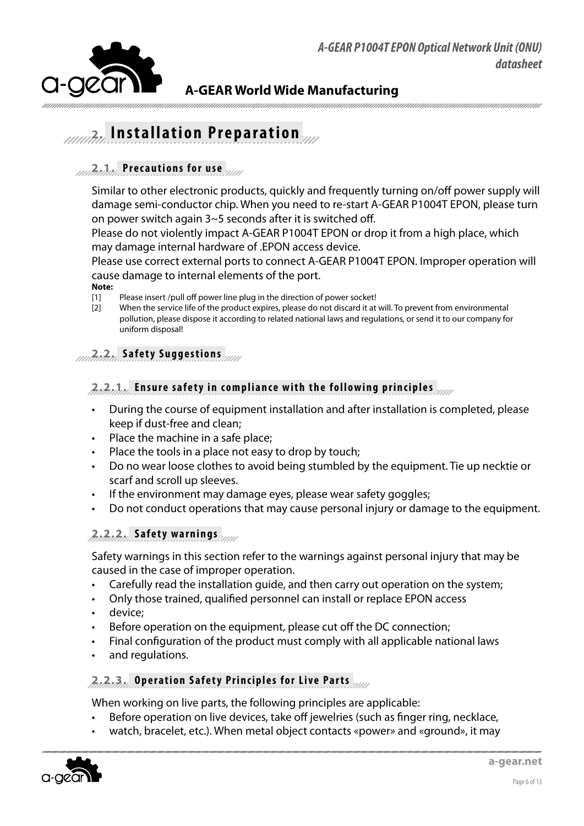<span id="page-5-0"></span>

## **2. Installation Preparation**

## **2.1. Precautions for use**

Similar to other electronic products, quickly and frequently turning on/off power supply will damage semi-conductor chip. When you need to re-start A-GEAR P1004T EPON, please turn on power switch again 3~5 seconds after it is switched off.

Please do not violently impact A-GEAR P1004T EPON or drop it from a high place, which may damage internal hardware of .EPON access device.

Please use correct external ports to connect A-GEAR P1004T EPON. Improper operation will cause damage to internal elements of the port.

**Note:**

- [1] Please insert /pull off power line plug in the direction of power socket!
- [2] When the service life of the product expires, please do not discard it at will. To prevent from environmental pollution, please dispose it according to related national laws and regulations, or send it to our company for uniform disposal!

### **2.2. Safety Suggestions**

#### **2.2.1. Ensure safety in compliance with the following principles**

- During the course of equipment installation and after installation is completed, please keep if dust-free and clean;
- Place the machine in a safe place;
- Place the tools in a place not easy to drop by touch;
- Do no wear loose clothes to avoid being stumbled by the equipment. Tie up necktie or scarf and scroll up sleeves.
- If the environment may damage eyes, please wear safety goggles;
- Do not conduct operations that may cause personal injury or damage to the equipment.

### **2.2.2. Safety warnings**

Safety warnings in this section refer to the warnings against personal injury that may be caused in the case of improper operation.

- Carefully read the installation quide, and then carry out operation on the system;
- Only those trained, qualified personnel can install or replace EPON access
- device:
- Before operation on the equipment, please cut off the DC connection;
- Final configuration of the product must comply with all applicable national laws
- and regulations.

#### **2.2.3. Operation Safety Principles for Live Parts**

When working on live parts, the following principles are applicable:

- Before operation on live devices, take off jewelries (such as finger ring, necklace,
- watch, bracelet, etc.). When metal object contacts «power» and «ground», it may

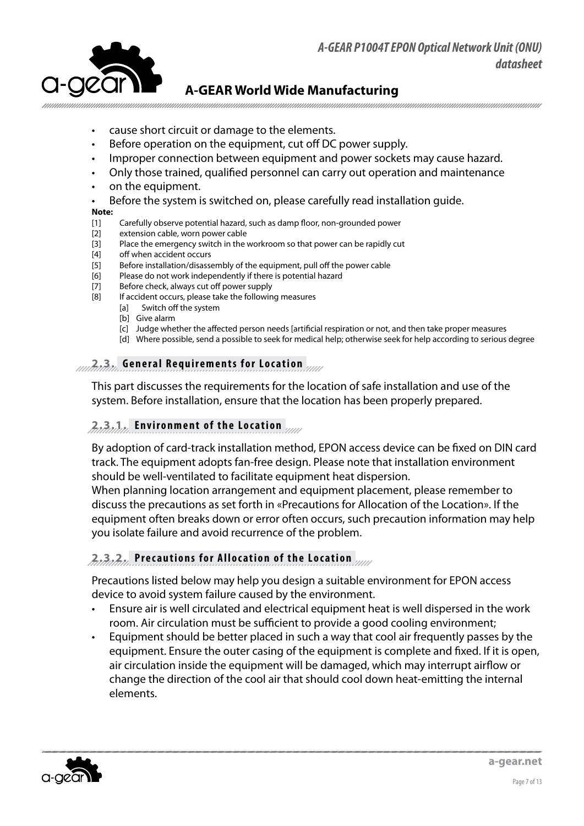<span id="page-6-0"></span>

**A-GEAR World Wide Manufacturing**

- cause short circuit or damage to the elements.
- Before operation on the equipment, cut off DC power supply.
- Improper connection between equipment and power sockets may cause hazard.
- Only those trained, qualified personnel can carry out operation and maintenance
- on the equipment.
- Before the system is switched on, please carefully read installation quide.

#### **Note:**

- [1] Carefully observe potential hazard, such as damp floor, non-grounded power
- [2] extension cable, worn power cable
- [3] Place the emergency switch in the workroom so that power can be rapidly cut
- [4] off when accident occurs
- [5] Before installation/disassembly of the equipment, pull off the power cable
- [6] Please do not work independently if there is potential hazard
- [7] Before check, always cut off power supply
- [8] If accident occurs, please take the following measures
	- [a] Switch off the system
	- [b] Give alarm
	- [c] Judge whether the affected person needs [artificial respiration or not, and then take proper measures
	- [d] Where possible, send a possible to seek for medical help; otherwise seek for help according to serious degree

#### **2.3. General Requirements for Location**

This part discusses the requirements for the location of safe installation and use of the system. Before installation, ensure that the location has been properly prepared.

#### **2.3.1. Environment of the Location**

By adoption of card-track installation method, EPON access device can be fixed on DIN card track. The equipment adopts fan-free design. Please note that installation environment should be well-ventilated to facilitate equipment heat dispersion.

When planning location arrangement and equipment placement, please remember to discuss the precautions as set forth in «Precautions for Allocation of the Location». If the equipment often breaks down or error often occurs, such precaution information may help you isolate failure and avoid recurrence of the problem.

#### **2.3.2. Precautions for Allocation of the Location**

Precautions listed below may help you design a suitable environment for EPON access device to avoid system failure caused by the environment.

- Ensure air is well circulated and electrical equipment heat is well dispersed in the work room. Air circulation must be sufficient to provide a good cooling environment;
- Equipment should be better placed in such a way that cool air frequently passes by the equipment. Ensure the outer casing of the equipment is complete and fixed. If it is open, air circulation inside the equipment will be damaged, which may interrupt airflow or change the direction of the cool air that should cool down heat-emitting the internal elements.

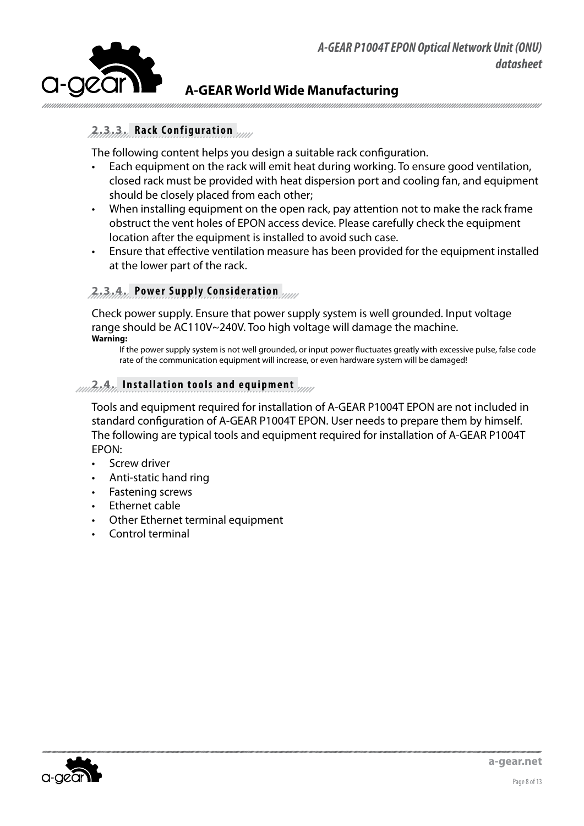<span id="page-7-0"></span>

## **2.3.3. Rack Configuration**

The following content helps you design a suitable rack configuration.

- Each equipment on the rack will emit heat during working. To ensure good ventilation, closed rack must be provided with heat dispersion port and cooling fan, and equipment should be closely placed from each other;
- When installing equipment on the open rack, pay attention not to make the rack frame obstruct the vent holes of EPON access device. Please carefully check the equipment location after the equipment is installed to avoid such case.
- Ensure that effective ventilation measure has been provided for the equipment installed at the lower part of the rack.

#### **2.3.4. Power Supply Consideration**

Check power supply. Ensure that power supply system is well grounded. Input voltage range should be AC110V~240V. Too high voltage will damage the machine. **Warning:**

If the power supply system is not well grounded, or input power fluctuates greatly with excessive pulse, false code rate of the communication equipment will increase, or even hardware system will be damaged!

#### **2.4. Installation tools and equipment**

Tools and equipment required for installation of A-GEAR P1004T EPON are not included in standard configuration of A-GEAR P1004T EPON. User needs to prepare them by himself. The following are typical tools and equipment required for installation of A-GEAR P1004T EPON:

- Screw driver
- Anti-static hand ring
- Fastening screws
- **Ethernet cable**
- Other Ethernet terminal equipment
- Control terminal

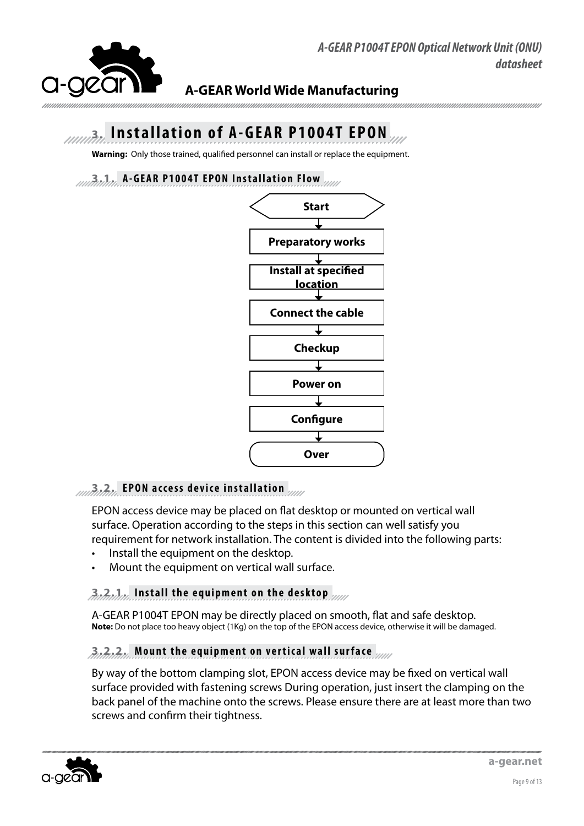<span id="page-8-0"></span>

## **A-GEAR World Wide Manufacturing**

## **3. Installation of A-GEAR P1004T EPON**

**Warning:** Only those trained, qualified personnel can install or replace the equipment.

#### **3.1. A-GEAR P1004T EPON Installation Flow**



## **3.2. EPON access device installation**

EPON access device may be placed on flat desktop or mounted on vertical wall surface. Operation according to the steps in this section can well satisfy you requirement for network installation. The content is divided into the following parts:

- • Install the equipment on the desktop.
- Mount the equipment on vertical wall surface.

#### **3.2.1. Install the equipment on the desktop**

A-GEAR P1004T EPON may be directly placed on smooth, flat and safe desktop. **Note:** Do not place too heavy object (1Kg) on the top of the EPON access device, otherwise it will be damaged.

#### **3.2.2. Mount the equipment on vertical wall surface**

By way of the bottom clamping slot, EPON access device may be fixed on vertical wall surface provided with fastening screws During operation, just insert the clamping on the back panel of the machine onto the screws. Please ensure there are at least more than two screws and confirm their tightness.

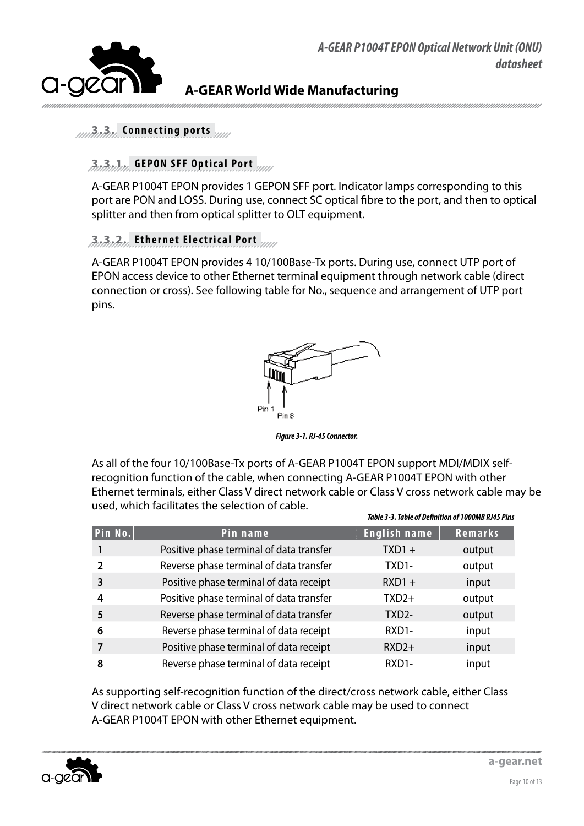

*Table 3-3. Table of Definition of 1000MB RJ45 Pins*

<span id="page-9-0"></span>

## **A-GEAR World Wide Manufacturing**

#### **3.3. Connecting ports**

### **3.3.1. GEPON SFF Optical Port**

A-GEAR P1004T EPON provides 1 GEPON SFF port. Indicator lamps corresponding to this port are PON and LOSS. During use, connect SC optical fibre to the port, and then to optical splitter and then from optical splitter to OLT equipment.

#### **3.3.2. Ethernet Electrical Port**

A-GEAR P1004T EPON provides 4 10/100Base-Tx ports. During use, connect UTP port of EPON access device to other Ethernet terminal equipment through network cable (direct connection or cross). See following table for No., sequence and arrangement of UTP port pins.



*Figure 3-1. RJ-45 Connector.* 

As all of the four 10/100Base-Tx ports of A-GEAR P1004T EPON support MDI/MDIX selfrecognition function of the cable, when connecting A-GEAR P1004T EPON with other Ethernet terminals, either Class V direct network cable or Class V cross network cable may be used, which facilitates the selection of cable.

|         |                                          |                     | 1996 - 1997), TUDIE VI DENNIUMI VI TUVUMD 1977 I 1113 |
|---------|------------------------------------------|---------------------|-------------------------------------------------------|
| Pin No. | Pin name                                 | <b>English name</b> | Remarks                                               |
|         | Positive phase terminal of data transfer | $TXD1 +$            | output                                                |
| 2       | Reverse phase terminal of data transfer  | TXD1-               | output                                                |
| 3       | Positive phase terminal of data receipt  | $RXD1 +$            | input                                                 |
| 4       | Positive phase terminal of data transfer | $TXD2+$             | output                                                |
| 5       | Reverse phase terminal of data transfer  | TXD <sub>2</sub> -  | output                                                |
| 6       | Reverse phase terminal of data receipt   | RXD1-               | input                                                 |
|         | Positive phase terminal of data receipt  | $RXD2+$             | input                                                 |
| 8       | Reverse phase terminal of data receipt   | RXD1-               | input                                                 |

As supporting self-recognition function of the direct/cross network cable, either Class V direct network cable or Class V cross network cable may be used to connect A-GEAR P1004T EPON with other Ethernet equipment.

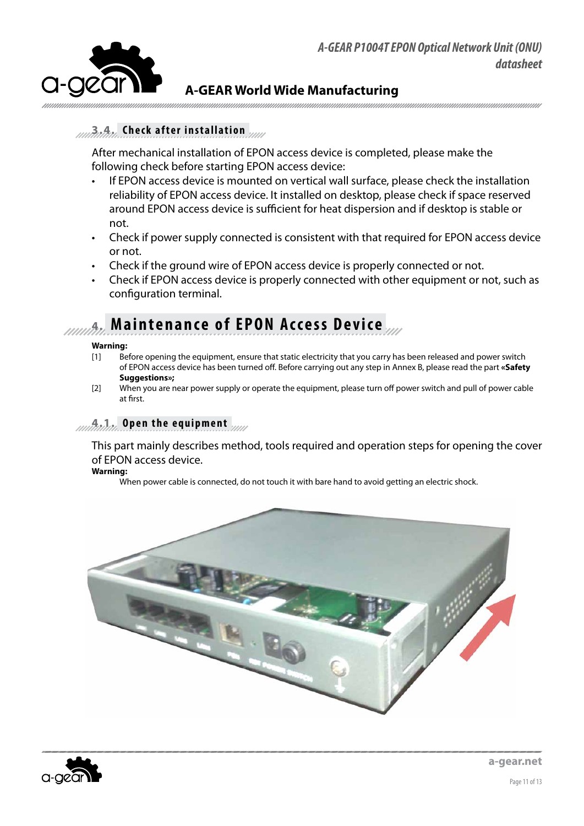<span id="page-10-0"></span>

### **3.4. Check after installation**

After mechanical installation of EPON access device is completed, please make the following check before starting EPON access device:

- If EPON access device is mounted on vertical wall surface, please check the installation reliability of EPON access device. It installed on desktop, please check if space reserved around EPON access device is sufficient for heat dispersion and if desktop is stable or not.
- Check if power supply connected is consistent with that required for EPON access device or not.
- Check if the ground wire of EPON access device is properly connected or not.
- Check if EPON access device is properly connected with other equipment or not, such as configuration terminal.

## **4. Maintenance of EPON Access Device**

#### **Warning:**

- [1] Before opening the equipment, ensure that static electricity that you carry has been released and power switch of EPON access device has been turned off. Before carrying out any step in Annex B, please read the part **«Safety Suggestions»;**
- [2] When you are near power supply or operate the equipment, please turn off power switch and pull of power cable at first.

#### **4.1. Open the equipment**

This part mainly describes method, tools required and operation steps for opening the cover of EPON access device.

**Warning:**

When power cable is connected, do not touch it with bare hand to avoid getting an electric shock.



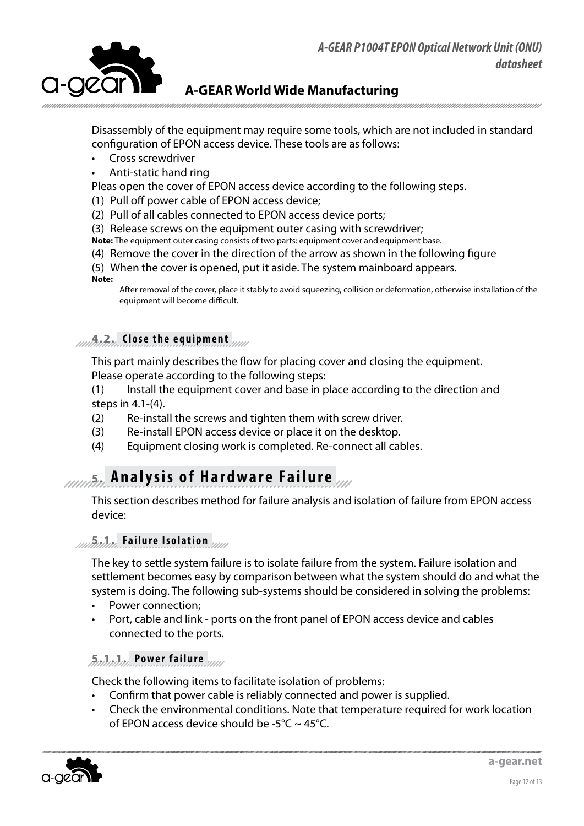<span id="page-11-0"></span>

**A-GEAR World Wide Manufacturing**

Disassembly of the equipment may require some tools, which are not included in standard configuration of EPON access device. These tools are as follows:

- Cross screwdriver
- Anti-static hand ring

Pleas open the cover of EPON access device according to the following steps.

- (1) Pull off power cable of EPON access device;
- (2) Pull of all cables connected to EPON access device ports;
- (3) Release screws on the equipment outer casing with screwdriver;
- **Note:** The equipment outer casing consists of two parts: equipment cover and equipment base.
- (4) Remove the cover in the direction of the arrow as shown in the following figure
- (5) When the cover is opened, put it aside. The system mainboard appears. **Note:**

After removal of the cover, place it stably to avoid squeezing, collision or deformation, otherwise installation of the equipment will become difficult.

#### **4.2. Close the equipment**

This part mainly describes the flow for placing cover and closing the equipment. Please operate according to the following steps:

- (1) Install the equipment cover and base in place according to the direction and steps in 4.1-(4).
- (2) Re-install the screws and tighten them with screw driver.
- (3) Re-install EPON access device or place it on the desktop.
- (4) Equipment closing work is completed. Re-connect all cables.

## **Analysis of Hardware Failure**

This section describes method for failure analysis and isolation of failure from EPON access device:

### **5.1. Failure Isolation**

The key to settle system failure is to isolate failure from the system. Failure isolation and settlement becomes easy by comparison between what the system should do and what the system is doing. The following sub-systems should be considered in solving the problems:

- Power connection;
- Port, cable and link ports on the front panel of EPON access device and cables connected to the ports.

#### **5.1.1. Power failure**

Check the following items to facilitate isolation of problems:

- Confirm that power cable is reliably connected and power is supplied.
- Check the environmental conditions. Note that temperature required for work location of EPON access device should be -5 $\degree$ C ~ 45 $\degree$ C.